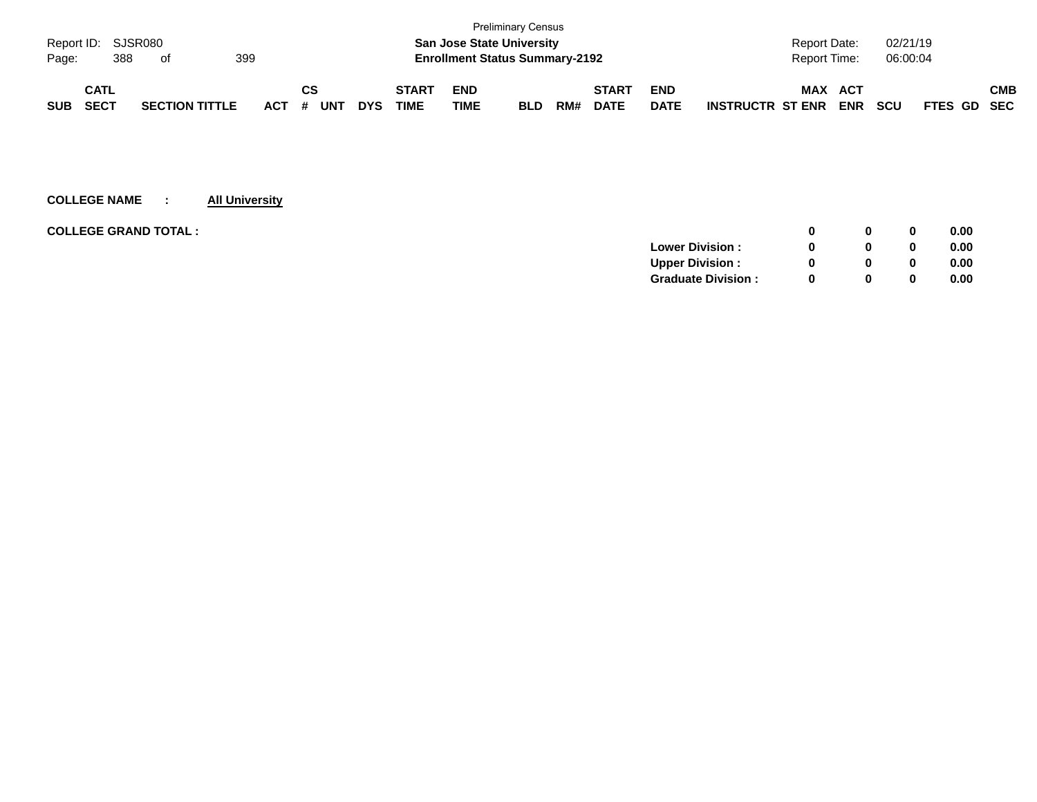|            |                    |     |                       |     |     |    |            |            |              |                                       | <b>Preliminary Census</b> |     |              |             |                         |                     |            |            |             |     |
|------------|--------------------|-----|-----------------------|-----|-----|----|------------|------------|--------------|---------------------------------------|---------------------------|-----|--------------|-------------|-------------------------|---------------------|------------|------------|-------------|-----|
|            | Report ID: SJSR080 |     |                       |     |     |    |            |            |              | <b>San Jose State University</b>      |                           |     |              |             |                         | <b>Report Date:</b> |            | 02/21/19   |             |     |
| Page:      |                    | 388 | of                    | 399 |     |    |            |            |              | <b>Enrollment Status Summary-2192</b> |                           |     |              |             |                         | <b>Report Time:</b> |            | 06:00:04   |             |     |
|            | <b>CATL</b>        |     |                       |     |     | СS |            |            | <b>START</b> | <b>END</b>                            |                           |     | <b>START</b> | <b>END</b>  |                         | <b>MAX</b>          | <b>ACT</b> |            |             | СМВ |
| <b>SUB</b> | <b>SECT</b>        |     | <b>SECTION TITTLE</b> |     | ACT | #  | <b>UNT</b> | <b>DYS</b> | TIME         | TIME                                  | <b>BLD</b>                | RM# | <b>DATE</b>  | <b>DATE</b> | <b>INSTRUCTR ST ENR</b> |                     | <b>ENR</b> | <b>SCU</b> | FTES GD SEC |     |

| <b>COLLEGE GRAND TOTAL :</b> |                           | 0            | $\bf{0}$ | 0.00 |
|------------------------------|---------------------------|--------------|----------|------|
|                              | <b>Lower Division:</b>    | 0            | 0        | 0.00 |
|                              | <b>Upper Division:</b>    | <sup>0</sup> | 0        | 0.00 |
|                              | <b>Graduate Division:</b> | <sup>0</sup> | 0        | 0.00 |
|                              |                           |              |          |      |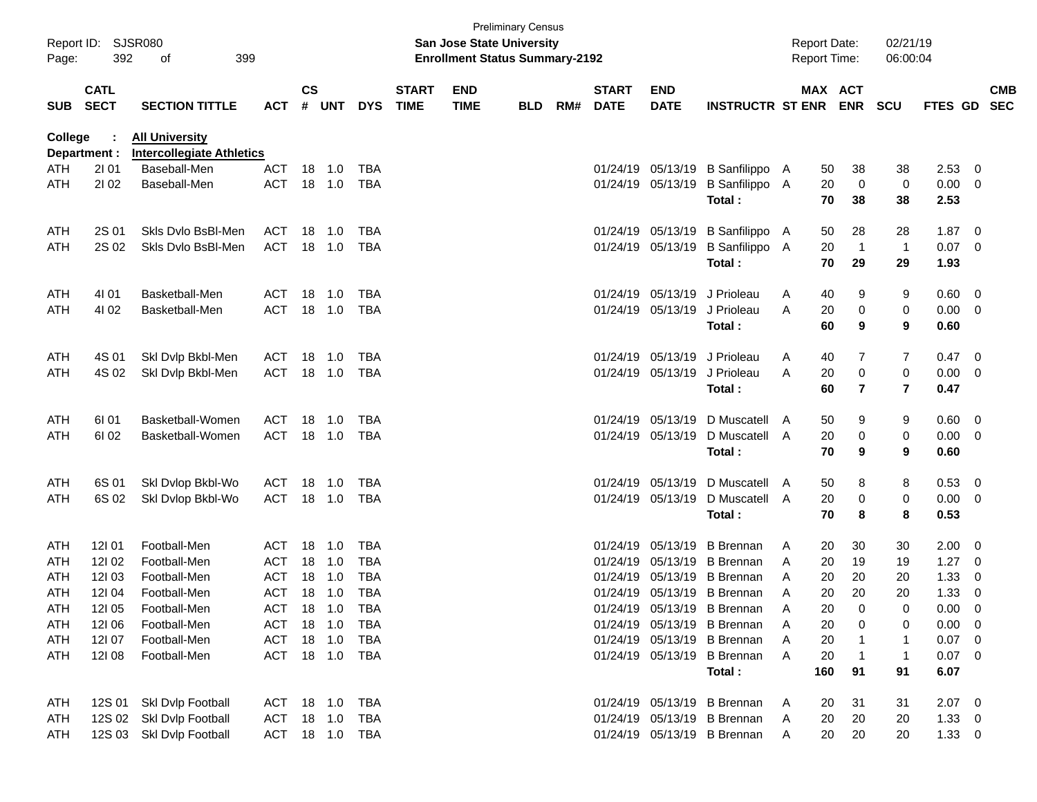| Page:      | Report ID: SJSR080<br>392  | 399<br>of                                                 |                |               |        |            |                             | <b>San Jose State University</b><br><b>Enrollment Status Summary-2192</b> | <b>Preliminary Census</b> |     |                             |                           |                             |   | <b>Report Date:</b><br><b>Report Time:</b> |                       | 02/21/19<br>06:00:04    |                |                          |                          |
|------------|----------------------------|-----------------------------------------------------------|----------------|---------------|--------|------------|-----------------------------|---------------------------------------------------------------------------|---------------------------|-----|-----------------------------|---------------------------|-----------------------------|---|--------------------------------------------|-----------------------|-------------------------|----------------|--------------------------|--------------------------|
| <b>SUB</b> | <b>CATL</b><br><b>SECT</b> | <b>SECTION TITTLE</b>                                     | ACT            | $\mathsf{cs}$ | # UNT  | <b>DYS</b> | <b>START</b><br><b>TIME</b> | <b>END</b><br><b>TIME</b>                                                 | <b>BLD</b>                | RM# | <b>START</b><br><b>DATE</b> | <b>END</b><br><b>DATE</b> | <b>INSTRUCTR ST ENR</b>     |   |                                            | MAX ACT<br><b>ENR</b> | <b>SCU</b>              | <b>FTES GD</b> |                          | <b>CMB</b><br><b>SEC</b> |
| College    | Department :               | <b>All University</b><br><b>Intercollegiate Athletics</b> |                |               |        |            |                             |                                                                           |                           |     |                             |                           |                             |   |                                            |                       |                         |                |                          |                          |
| ATH        | 2101                       | Baseball-Men                                              | <b>ACT</b>     |               | 18 1.0 | TBA        |                             |                                                                           |                           |     | 01/24/19                    | 05/13/19                  | B Sanfilippo A              |   | 50                                         | 38                    | 38                      | 2.53           | 0                        |                          |
| ATH        | 21 02                      | Baseball-Men                                              | <b>ACT</b>     |               | 18 1.0 | TBA        |                             |                                                                           |                           |     | 01/24/19                    | 05/13/19                  | B Sanfilippo A              |   | 20                                         | 0                     | 0                       | 0.00           | 0                        |                          |
|            |                            |                                                           |                |               |        |            |                             |                                                                           |                           |     |                             |                           | Total:                      |   | 70                                         | 38                    | 38                      | 2.53           |                          |                          |
| ATH        | 2S 01                      | Skls Dvlo BsBI-Men                                        | ACT            | 18            | 1.0    | TBA        |                             |                                                                           |                           |     | 01/24/19                    | 05/13/19                  | B Sanfilippo A              |   | 50                                         | 28                    | 28                      | 1.87           | 0                        |                          |
| ATH        | 2S 02                      | Skls Dvlo BsBI-Men                                        | <b>ACT</b>     |               | 18 1.0 | TBA        |                             |                                                                           |                           |     |                             | 01/24/19 05/13/19         | B Sanfilippo A              |   | 20                                         | $\overline{1}$        | $\overline{1}$          | 0.07           | 0                        |                          |
|            |                            |                                                           |                |               |        |            |                             |                                                                           |                           |     |                             |                           | Total:                      |   | 70                                         | 29                    | 29                      | 1.93           |                          |                          |
| ATH        | 4101                       | Basketball-Men                                            | ACT            | 18            | 1.0    | TBA        |                             |                                                                           |                           |     | 01/24/19                    |                           | 05/13/19 J Prioleau         | A | 40                                         | 9                     | 9                       | 0.60           | 0                        |                          |
| ATH        | 41 02                      | Basketball-Men                                            | <b>ACT</b>     |               | 18 1.0 | TBA        |                             |                                                                           |                           |     |                             | 01/24/19 05/13/19         | J Prioleau                  | A | 20                                         | 0                     | 0                       | 0.00           | 0                        |                          |
|            |                            |                                                           |                |               |        |            |                             |                                                                           |                           |     |                             |                           | Total:                      |   | 60                                         | 9                     | 9                       | 0.60           |                          |                          |
| ATH        | 4S 01                      | Skl Dvlp Bkbl-Men                                         | ACT            | 18            | 1.0    | TBA        |                             |                                                                           |                           |     | 01/24/19                    |                           | 05/13/19 J Prioleau         | A | 40                                         | 7                     | 7                       | 0.47           | 0                        |                          |
| ATH        | 4S 02                      | Ski Dvip Bkbl-Men                                         | <b>ACT</b>     |               | 18 1.0 | TBA        |                             |                                                                           |                           |     |                             | 01/24/19 05/13/19         | J Prioleau                  | A | 20                                         | 0                     | 0                       | 0.00           | 0                        |                          |
|            |                            |                                                           |                |               |        |            |                             |                                                                           |                           |     |                             |                           | Total :                     |   | 60                                         | 7                     | $\overline{\mathbf{r}}$ | 0.47           |                          |                          |
| ATH        | 61 01                      | Basketball-Women                                          | <b>ACT</b>     | 18            | 1.0    | TBA        |                             |                                                                           |                           |     | 01/24/19                    | 05/13/19                  | D Muscatell                 | A | 50                                         | 9                     | 9                       | 0.60           | 0                        |                          |
| ATH        | 61 02                      | Basketball-Women                                          | <b>ACT</b>     |               | 18 1.0 | TBA        |                             |                                                                           |                           |     |                             | 01/24/19 05/13/19         | D Muscatell A               |   | 20                                         | 0                     | 0                       | 0.00           | 0                        |                          |
|            |                            |                                                           |                |               |        |            |                             |                                                                           |                           |     |                             |                           | Total:                      |   | 70                                         | 9                     | 9                       | 0.60           |                          |                          |
| ATH        | 6S 01                      | Skl Dvlop Bkbl-Wo                                         | ACT            | 18            | 1.0    | TBA        |                             |                                                                           |                           |     | 01/24/19                    | 05/13/19                  | D Muscatell                 | A | 50                                         | 8                     | 8                       | 0.53           | 0                        |                          |
| ATH        | 6S 02                      | Ski Dvlop Bkbl-Wo                                         | ACT            |               | 18 1.0 | TBA        |                             |                                                                           |                           |     |                             | 01/24/19 05/13/19         | D Muscatell A               |   | 20                                         | 0                     | 0                       | 0.00           | 0                        |                          |
|            |                            |                                                           |                |               |        |            |                             |                                                                           |                           |     |                             |                           | Total:                      |   | 70                                         | 8                     | 8                       | 0.53           |                          |                          |
| ATH        | 12101                      | Football-Men                                              | <b>ACT</b>     | 18            | 1.0    | TBA        |                             |                                                                           |                           |     | 01/24/19                    | 05/13/19                  | <b>B</b> Brennan            | A | 20                                         | 30                    | 30                      | 2.00           | 0                        |                          |
| ATH        | 121 02                     | Football-Men                                              | <b>ACT</b>     | 18            | 1.0    | TBA        |                             |                                                                           |                           |     | 01/24/19                    | 05/13/19                  | <b>B</b> Brennan            | A | 20                                         | 19                    | 19                      | 1.27           | 0                        |                          |
| ATH        | 12103                      | Football-Men                                              | <b>ACT</b>     | 18            | 1.0    | TBA        |                             |                                                                           |                           |     | 01/24/19                    | 05/13/19                  | <b>B</b> Brennan            | A | 20                                         | 20                    | 20                      | 1.33           | 0                        |                          |
| ATH        | 12104                      | Football-Men                                              | <b>ACT</b>     | 18            | $-1.0$ | <b>TBA</b> |                             |                                                                           |                           |     | 01/24/19                    |                           | 05/13/19 B Brennan          | A | 20                                         | 20                    | 20                      | 1.33           | 0                        |                          |
| ATH        | 121 05                     | Football-Men                                              | ACT            |               |        | TBA        |                             |                                                                           |                           |     |                             |                           | 01/24/19 05/13/19 B Brennan | A | 20                                         | $\Omega$              | 0                       | 0.00           | $\Omega$                 |                          |
| ATH        | 12106                      | Football-Men                                              | ACT 18 1.0     |               |        | TBA        |                             |                                                                           |                           |     |                             |                           | 01/24/19 05/13/19 B Brennan | A | 20                                         | 0                     | 0                       | 0.00           | $\overline{\phantom{0}}$ |                          |
| ATH        | 12107                      | Football-Men                                              | ACT 18 1.0     |               |        | TBA        |                             |                                                                           |                           |     |                             |                           | 01/24/19 05/13/19 B Brennan | A | 20                                         | $\mathbf 1$           | -1                      | $0.07$ 0       |                          |                          |
| ATH        | 12108                      | Football-Men                                              | ACT 18 1.0     |               |        | TBA        |                             |                                                                           |                           |     |                             |                           | 01/24/19 05/13/19 B Brennan | A | 20                                         | $\mathbf 1$           | $\mathbf{1}$            | $0.07$ 0       |                          |                          |
|            |                            |                                                           |                |               |        |            |                             |                                                                           |                           |     |                             |                           | Total:                      |   | 160                                        | 91                    | 91                      | 6.07           |                          |                          |
| ATH        | 12S 01                     | Skl Dvlp Football                                         | ACT 18 1.0     |               |        | TBA        |                             |                                                                           |                           |     |                             |                           | 01/24/19 05/13/19 B Brennan | A | 20                                         | 31                    | 31                      | $2.07 \t 0$    |                          |                          |
| ATH        |                            | 12S 02 Skl Dvlp Football                                  | ACT 18 1.0     |               |        | TBA        |                             |                                                                           |                           |     |                             |                           | 01/24/19 05/13/19 B Brennan | A | 20                                         | 20                    | 20                      | $1.33 \ 0$     |                          |                          |
| ATH        |                            | 12S 03 Skl Dvlp Football                                  | ACT 18 1.0 TBA |               |        |            |                             |                                                                           |                           |     |                             |                           | 01/24/19 05/13/19 B Brennan | A | 20                                         | 20                    | 20                      | $1.33 \ 0$     |                          |                          |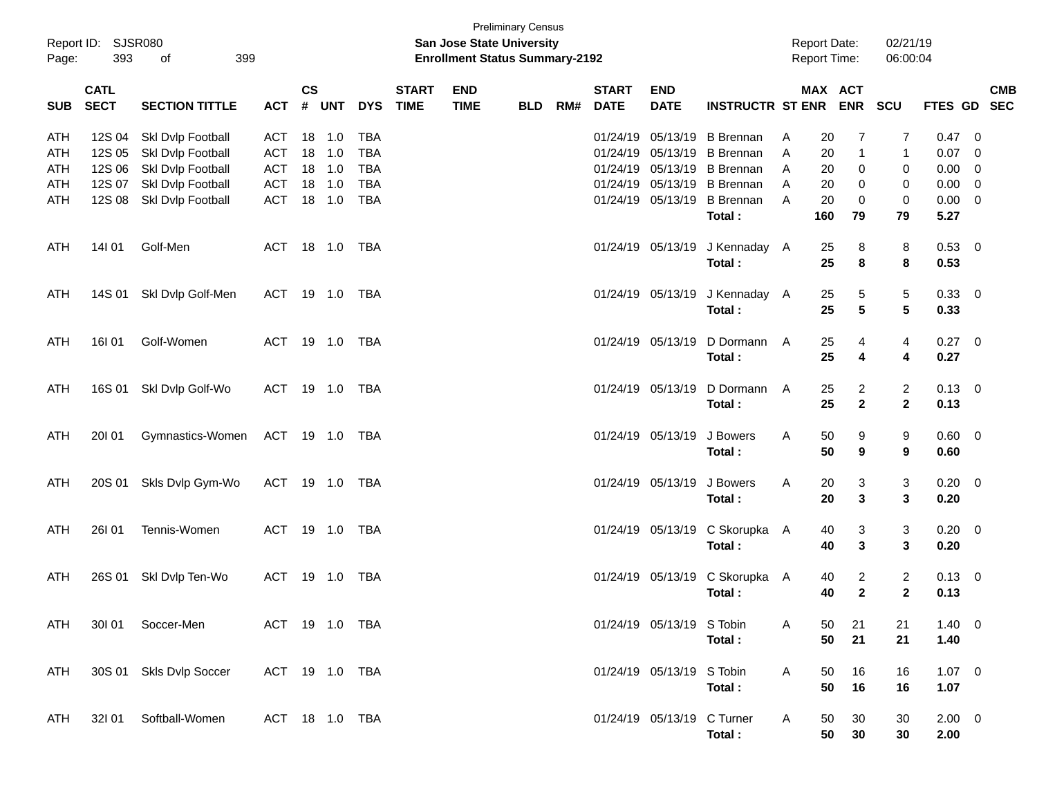| Page:                                  | Report ID: SJSR080<br>393  | 399<br>of                                                   |                                 |                |                   |                                        |                             | San Jose State University<br><b>Enrollment Status Summary-2192</b> | <b>Preliminary Census</b> |     |                             |                                                    |                                                          |             | <b>Report Date:</b><br><b>Report Time:</b> | 02/21/19<br>06:00:04                                              |                        |                                                             |            |
|----------------------------------------|----------------------------|-------------------------------------------------------------|---------------------------------|----------------|-------------------|----------------------------------------|-----------------------------|--------------------------------------------------------------------|---------------------------|-----|-----------------------------|----------------------------------------------------|----------------------------------------------------------|-------------|--------------------------------------------|-------------------------------------------------------------------|------------------------|-------------------------------------------------------------|------------|
| <b>SUB</b>                             | <b>CATL</b><br><b>SECT</b> | <b>SECTION TITTLE</b>                                       | <b>ACT</b>                      | <b>CS</b><br># | <b>UNT</b>        | <b>DYS</b>                             | <b>START</b><br><b>TIME</b> | <b>END</b><br><b>TIME</b>                                          | <b>BLD</b>                | RM# | <b>START</b><br><b>DATE</b> | <b>END</b><br><b>DATE</b>                          | <b>INSTRUCTR ST ENR</b>                                  |             | <b>MAX ACT</b><br><b>ENR</b>               | <b>SCU</b>                                                        | FTES GD SEC            |                                                             | <b>CMB</b> |
| <b>ATH</b><br><b>ATH</b><br><b>ATH</b> | 12S 04<br>12S 05<br>12S 06 | Skl Dvlp Football<br>Skl Dvlp Football<br>Skl Dvlp Football | <b>ACT</b><br>ACT<br><b>ACT</b> | 18<br>18<br>18 | 1.0<br>1.0<br>1.0 | <b>TBA</b><br><b>TBA</b><br><b>TBA</b> |                             |                                                                    |                           |     | 01/24/19                    | 05/13/19<br>01/24/19 05/13/19<br>01/24/19 05/13/19 | <b>B</b> Brennan<br><b>B</b> Brennan<br><b>B</b> Brennan | Α<br>A<br>A | 20<br>7<br>$\mathbf{1}$<br>20<br>0<br>20   | 7<br>1<br>0                                                       | 0.47<br>0.07<br>0.00   | - 0<br>$\overline{\phantom{0}}$<br>$\overline{\phantom{0}}$ |            |
| ATH<br>ATH                             | 12S 07<br>12S 08           | Skl Dvlp Football<br>Skl Dvlp Football                      | <b>ACT</b><br><b>ACT</b>        | 18<br>18       | 1.0<br>1.0        | <b>TBA</b><br><b>TBA</b>               |                             |                                                                    |                           |     | 01/24/19                    | 05/13/19<br>01/24/19 05/13/19                      | <b>B</b> Brennan<br><b>B</b> Brennan<br>Total:           | A<br>A      | 0<br>20<br>20<br>$\mathbf 0$<br>160<br>79  | 0<br>$\mathbf 0$<br>79                                            | 0.00<br>0.00<br>5.27   | $\overline{\phantom{0}}$<br>$\overline{\phantom{0}}$        |            |
| ATH                                    | 14101                      | Golf-Men                                                    | <b>ACT</b>                      |                | 18 1.0            | TBA                                    |                             |                                                                    |                           |     |                             | 01/24/19 05/13/19                                  | J Kennaday A<br>Total:                                   |             | 8<br>25<br>8<br>25                         | 8<br>8                                                            | 0.53<br>0.53           | $\overline{\mathbf{0}}$                                     |            |
| <b>ATH</b>                             | 14S 01                     | Skl Dvlp Golf-Men                                           | <b>ACT</b>                      |                | 19 1.0            | TBA                                    |                             |                                                                    |                           |     |                             | 01/24/19 05/13/19                                  | J Kennaday A<br>Total:                                   |             | 5<br>25<br>5<br>25                         | 5<br>5                                                            | 0.33 0<br>0.33         |                                                             |            |
| <b>ATH</b>                             | <b>16I 01</b>              | Golf-Women                                                  | <b>ACT</b>                      |                | 19 1.0            | TBA                                    |                             |                                                                    |                           |     |                             | 01/24/19 05/13/19                                  | D Dormann<br>Total:                                      | A           | 25<br>4<br>25<br>4                         | 4<br>4                                                            | $0.27$ 0<br>0.27       |                                                             |            |
| <b>ATH</b>                             | 16S 01                     | Skl Dvlp Golf-Wo                                            | <b>ACT</b>                      |                | 19 1.0            | TBA                                    |                             |                                                                    |                           |     |                             | 01/24/19 05/13/19                                  | D Dormann<br>Total:                                      | A           | 25<br>25                                   | $\overline{c}$<br>$\overline{c}$<br>$\overline{2}$<br>$\mathbf 2$ | $0.13 \quad 0$<br>0.13 |                                                             |            |
| <b>ATH</b>                             | 20101                      | Gymnastics-Women                                            | ACT 19 1.0                      |                |                   | TBA                                    |                             |                                                                    |                           |     |                             | 01/24/19 05/13/19                                  | J Bowers<br>Total:                                       | A           | 50<br>9<br>50<br>9                         | 9<br>9                                                            | 0.60 0<br>0.60         |                                                             |            |
| <b>ATH</b>                             | 20S 01                     | Skls Dvlp Gym-Wo                                            | <b>ACT</b>                      |                | 19 1.0            | TBA                                    |                             |                                                                    |                           |     |                             | 01/24/19 05/13/19                                  | J Bowers<br>Total:                                       | A           | 3<br>20<br>$\mathbf{3}$<br>20              | 3<br>$\mathbf{3}$                                                 | $0.20 \ 0$<br>0.20     |                                                             |            |
| <b>ATH</b>                             | 26101                      | Tennis-Women                                                | <b>ACT</b>                      |                | 19 1.0            | TBA                                    |                             |                                                                    |                           |     |                             | 01/24/19 05/13/19                                  | C Skorupka A<br>Total:                                   |             | 3<br>40<br>$\mathbf{3}$<br>40              | 3<br>$\mathbf{3}$                                                 | $0.20 \ 0$<br>0.20     |                                                             |            |
| ATH                                    | 26S 01                     | Skl Dvlp Ten-Wo                                             | <b>ACT</b>                      |                | 19 1.0            | TBA                                    |                             |                                                                    |                           |     |                             | 01/24/19 05/13/19                                  | C Skorupka A<br>Total:                                   |             | 40<br>40                                   | $\overline{c}$<br>$\overline{2}$<br>$\overline{2}$<br>$\mathbf 2$ | $0.13 \ 0$<br>0.13     |                                                             |            |
| ATH                                    |                            | 301 01 Soccer-Men                                           | ACT 19 1.0 TBA                  |                |                   |                                        |                             |                                                                    |                           |     |                             | 01/24/19 05/13/19 S Tobin                          | Total:                                                   | A           | 50<br>21<br>21<br>50                       | 21<br>21                                                          | $1.40 \ 0$<br>1.40     |                                                             |            |
| ATH                                    |                            | 30S 01 Skls Dvlp Soccer                                     | ACT 19 1.0 TBA                  |                |                   |                                        |                             |                                                                    |                           |     |                             | 01/24/19 05/13/19 S Tobin                          | Total:                                                   | A           | 50<br>16<br>50<br>16                       | 16<br>16                                                          | $1.07 \t 0$<br>1.07    |                                                             |            |
| ATH                                    |                            | 32I 01 Softball-Women                                       | ACT 18 1.0 TBA                  |                |                   |                                        |                             |                                                                    |                           |     |                             | 01/24/19 05/13/19 C Turner                         | Total:                                                   | A           | 50<br>30<br>50<br>30                       | 30<br>30                                                          | $2.00 \t 0$<br>2.00    |                                                             |            |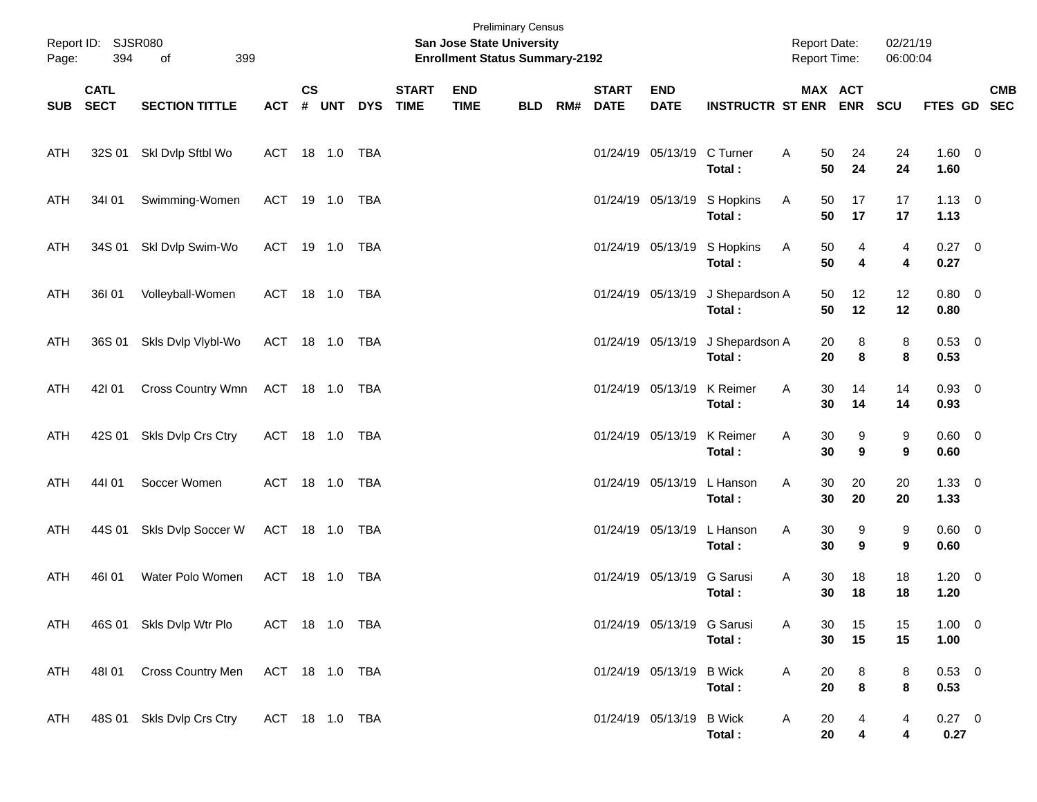| Page:      | Report ID: SJSR080<br>394  | of<br>399                 |                |               |       |            |                             | San Jose State University<br><b>Enrollment Status Summary-2192</b> | <b>Preliminary Census</b> |     |                             |                            |                             | <b>Report Date:</b><br>Report Time: |          | 02/21/19<br>06:00:04 |                        |            |
|------------|----------------------------|---------------------------|----------------|---------------|-------|------------|-----------------------------|--------------------------------------------------------------------|---------------------------|-----|-----------------------------|----------------------------|-----------------------------|-------------------------------------|----------|----------------------|------------------------|------------|
| SUB        | <b>CATL</b><br><b>SECT</b> | <b>SECTION TITTLE</b>     | <b>ACT</b>     | $\mathsf{cs}$ | # UNT | <b>DYS</b> | <b>START</b><br><b>TIME</b> | <b>END</b><br><b>TIME</b>                                          | <b>BLD</b>                | RM# | <b>START</b><br><b>DATE</b> | <b>END</b><br><b>DATE</b>  | <b>INSTRUCTR ST ENR ENR</b> |                                     | MAX ACT  | <b>SCU</b>           | FTES GD SEC            | <b>CMB</b> |
| ATH        | 32S 01                     | Skl Dvlp Sftbl Wo         | ACT 18 1.0 TBA |               |       |            |                             |                                                                    |                           |     |                             | 01/24/19 05/13/19          | C Turner<br>Total:          | A<br>50<br>50                       | 24<br>24 | 24<br>24             | $1.60 \t 0$<br>1.60    |            |
| ATH        | 34101                      | Swimming-Women            | ACT 19 1.0 TBA |               |       |            |                             |                                                                    |                           |     |                             | 01/24/19 05/13/19          | S Hopkins<br>Total:         | Α<br>50<br>50                       | 17<br>17 | 17<br>17             | $1.13 \quad 0$<br>1.13 |            |
| ATH        | 34S 01                     | Skl Dvlp Swim-Wo          | ACT 19 1.0 TBA |               |       |            |                             |                                                                    |                           |     |                             | 01/24/19 05/13/19          | S Hopkins<br>Total:         | A<br>50<br>50                       | 4<br>4   | 4<br>4               | $0.27 \ 0$<br>0.27     |            |
| ATH        | 36101                      | Volleyball-Women          | ACT 18 1.0 TBA |               |       |            |                             |                                                                    |                           |     |                             | 01/24/19 05/13/19          | J Shepardson A<br>Total:    | 50<br>50                            | 12<br>12 | 12<br>12             | $0.80 \ 0$<br>0.80     |            |
| ATH        | 36S 01                     | Skls Dvlp Vlybl-Wo        | ACT 18 1.0 TBA |               |       |            |                             |                                                                    |                           |     |                             | 01/24/19 05/13/19          | J Shepardson A<br>Total:    | 20<br>20                            | 8<br>8   | 8<br>8               | 0.53 0<br>0.53         |            |
| ATH        | 42101                      | Cross Country Wmn         | ACT 18 1.0 TBA |               |       |            |                             |                                                                    |                           |     |                             | 01/24/19 05/13/19          | K Reimer<br>Total:          | 30<br>Α<br>30                       | 14<br>14 | 14<br>14             | $0.93 \ 0$<br>0.93     |            |
| ATH        | 42S 01                     | Skls Dvlp Crs Ctry        | ACT 18 1.0 TBA |               |       |            |                             |                                                                    |                           |     |                             | 01/24/19 05/13/19          | K Reimer<br>Total:          | Α<br>30<br>30                       | 9<br>9   | 9<br>9               | $0.60 \quad 0$<br>0.60 |            |
| <b>ATH</b> | 44101                      | Soccer Women              | ACT 18 1.0 TBA |               |       |            |                             |                                                                    |                           |     |                             | 01/24/19 05/13/19          | L Hanson<br>Total:          | 30<br>Α<br>30                       | 20<br>20 | 20<br>20             | $1.33 \ 0$<br>1.33     |            |
| ATH        | 44S 01                     | Skls Dvlp Soccer W        | ACT 18 1.0 TBA |               |       |            |                             |                                                                    |                           |     |                             | 01/24/19 05/13/19          | L Hanson<br>Total:          | Α<br>30<br>30                       | 9<br>9   | 9<br>9               | $0.60 \quad 0$<br>0.60 |            |
| <b>ATH</b> | 46I 01                     | Water Polo Women          | ACT            |               |       | TBA        |                             |                                                                    |                           |     |                             | 01/24/19 05/13/19          | G Sarusi<br>Total:          | A<br>30<br>30                       | 18<br>18 | 18<br>18             | $1.20 \t 0$<br>1.20    |            |
| ATH        |                            | 46S 01 Skls Dvlp Wtr Plo  | ACT 18 1.0 TBA |               |       |            |                             |                                                                    |                           |     |                             | 01/24/19 05/13/19 G Sarusi | Total:                      | Α<br>30<br>30                       | 15<br>15 | 15<br>15             | $1.00 \t 0$<br>1.00    |            |
| <b>ATH</b> | 48101                      | Cross Country Men         | ACT 18 1.0 TBA |               |       |            |                             |                                                                    |                           |     |                             | 01/24/19 05/13/19          | <b>B</b> Wick<br>Total:     | Α<br>20<br>20                       | 8<br>8   | 8<br>8               | $0.53 \t 0$<br>0.53    |            |
| ATH        |                            | 48S 01 Skls Dvlp Crs Ctry | ACT 18 1.0 TBA |               |       |            |                             |                                                                    |                           |     |                             | 01/24/19 05/13/19          | <b>B</b> Wick<br>Total:     | A<br>20<br>20                       | 4<br>4   | 4<br>4               | $0.27 \t 0$<br>0.27    |            |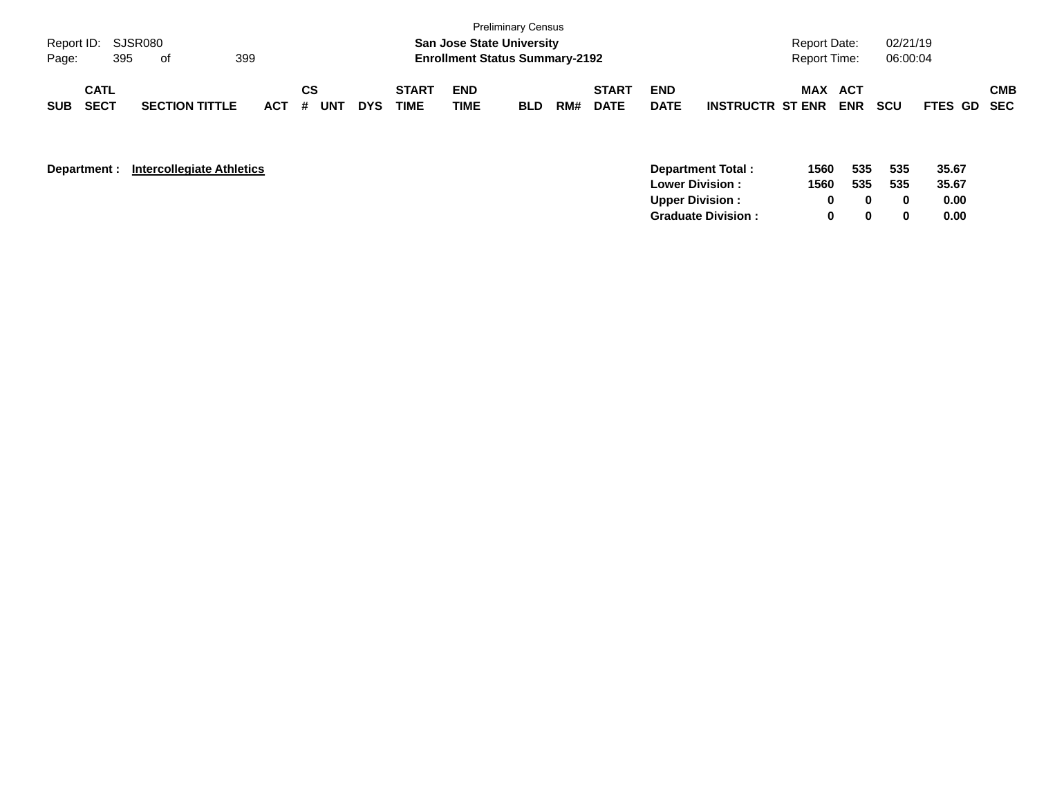| Page:      | Report ID: SJSR080<br>395  | of                    | 399     |           |            |                             |                           | <b>Preliminary Census</b><br><b>San Jose State University</b><br><b>Enrollment Status Summary-2192</b> |     |                             |                           |                         | <b>Report Date:</b><br><b>Report Time:</b> |                   | 02/21/19<br>06:00:04 |             |            |
|------------|----------------------------|-----------------------|---------|-----------|------------|-----------------------------|---------------------------|--------------------------------------------------------------------------------------------------------|-----|-----------------------------|---------------------------|-------------------------|--------------------------------------------|-------------------|----------------------|-------------|------------|
| <b>SUB</b> | <b>CATL</b><br><b>SECT</b> | <b>SECTION TITTLE</b> | $ACT$ # | СS<br>UNT | <b>DYS</b> | <b>START</b><br><b>TIME</b> | <b>END</b><br><b>TIME</b> | <b>BLD</b>                                                                                             | RM# | <b>START</b><br><b>DATE</b> | <b>END</b><br><b>DATE</b> | <b>INSTRUCTR ST ENR</b> | MAX                                        | ACT<br><b>ENR</b> | <b>SCU</b>           | FTES GD SEC | <b>CMB</b> |

| Department: |  | <b>Intercollegiate Athletics</b> |  |
|-------------|--|----------------------------------|--|
|-------------|--|----------------------------------|--|

| <b>Department:</b> | <b>Intercollegiate Athletics</b> | Department Total:          | 1560 | 535 | 535 | 35.67 |
|--------------------|----------------------------------|----------------------------|------|-----|-----|-------|
|                    |                                  | <b>Lower Division:</b>     | 1560 | 535 | 535 | 35.67 |
|                    |                                  | <b>Upper Division:</b>     |      |     |     | 0.00  |
|                    |                                  | <b>Graduate Division :</b> |      |     |     | 0.00  |
|                    |                                  |                            |      |     |     |       |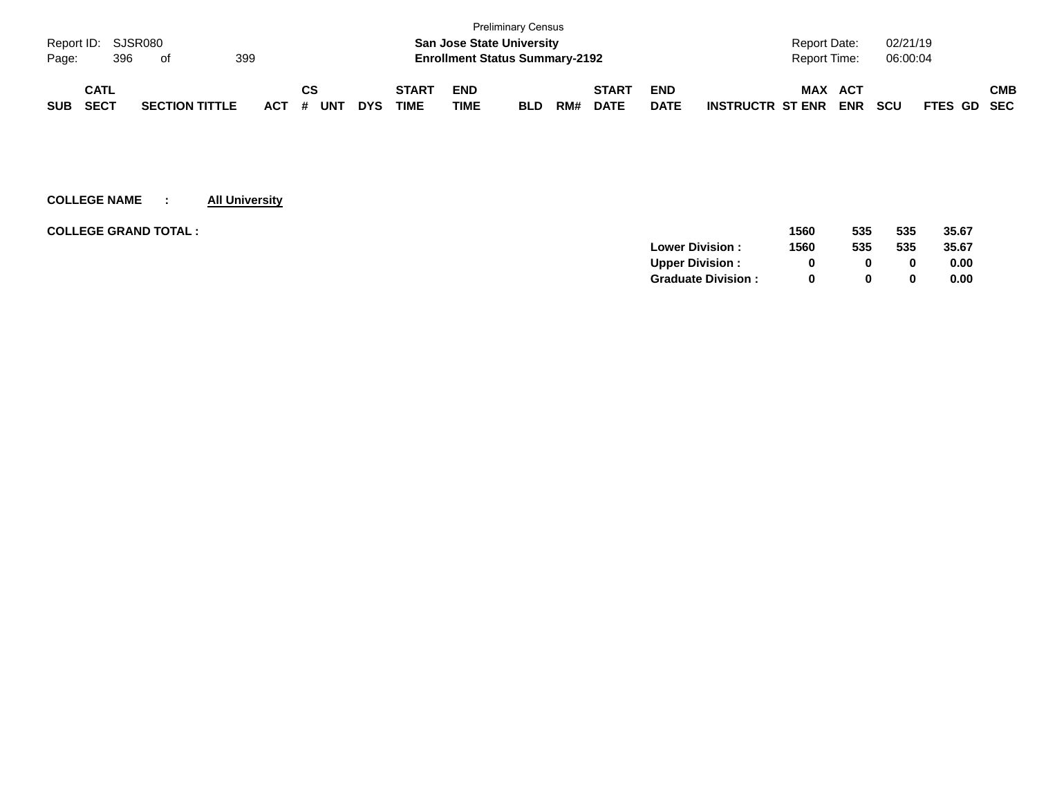|                    |             |     |                       |     |     |    |     |            |              |                                       | <b>Preliminary Census</b> |     |              |             |                         |                     |            |            |             |     |
|--------------------|-------------|-----|-----------------------|-----|-----|----|-----|------------|--------------|---------------------------------------|---------------------------|-----|--------------|-------------|-------------------------|---------------------|------------|------------|-------------|-----|
| Report ID: SJSR080 |             |     |                       |     |     |    |     |            |              | <b>San Jose State University</b>      |                           |     |              |             |                         | <b>Report Date:</b> |            | 02/21/19   |             |     |
| Page:              |             | 396 | of                    | 399 |     |    |     |            |              | <b>Enrollment Status Summary-2192</b> |                           |     |              |             |                         | <b>Report Time:</b> |            | 06:00:04   |             |     |
|                    |             |     |                       |     |     |    |     |            |              |                                       |                           |     |              |             |                         |                     |            |            |             |     |
|                    | <b>CATL</b> |     |                       |     |     | СS |     |            | <b>START</b> | <b>END</b>                            |                           |     | <b>START</b> | <b>END</b>  |                         | <b>MAX</b>          | <b>ACT</b> |            |             | СМВ |
| <b>SUB</b>         | <b>SECT</b> |     | <b>SECTION TITTLE</b> |     | ACT | #  | UN™ | <b>DYS</b> | TIME         | <b>TIME</b>                           | <b>BLD</b>                | RM# | <b>DATE</b>  | <b>DATE</b> | <b>INSTRUCTR ST ENR</b> |                     | <b>ENR</b> | <b>SCU</b> | FTES GD SEC |     |

| <b>COLLEGE GRAND TOTAL :</b> | 1560 | 535          | 535 | 35.67 |
|------------------------------|------|--------------|-----|-------|
| <b>Lower Division:</b>       | 1560 | 535          | 535 | 35.67 |
| <b>Upper Division:</b>       |      | 0            |     | 0.00  |
| <b>Graduate Division:</b>    | 0    | <sup>0</sup> |     | 0.00  |
|                              |      |              |     |       |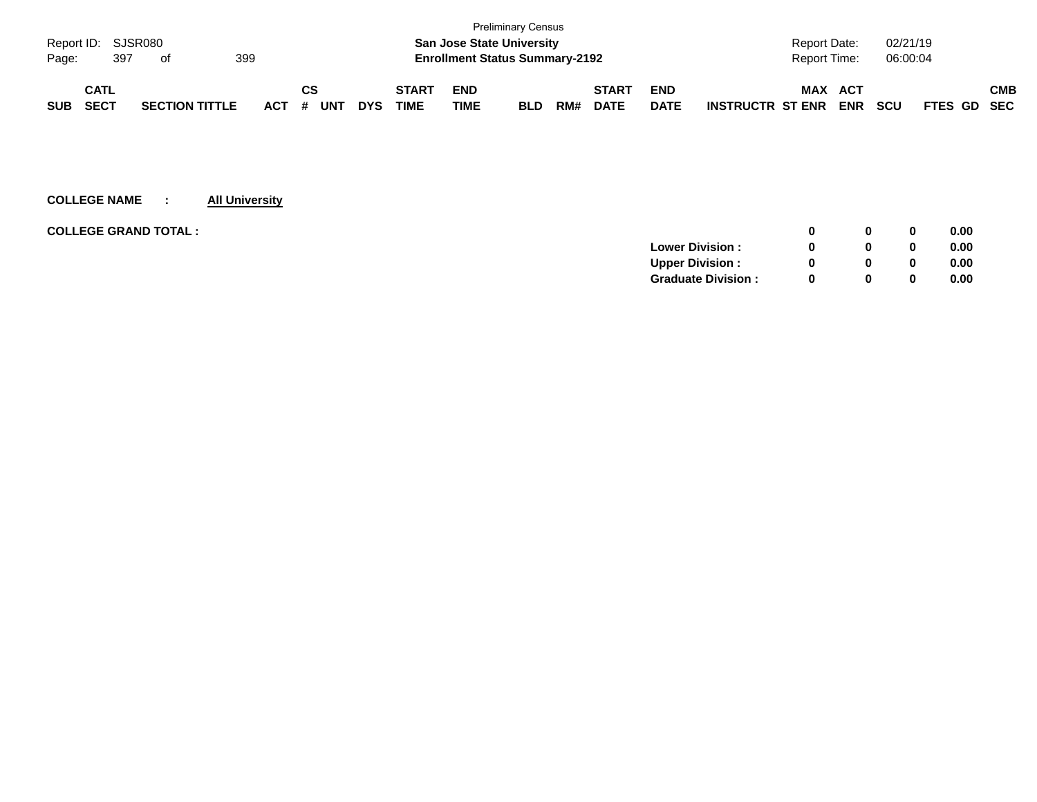|            |                    |                       |     |     |    |            |            |              |                                       | <b>Preliminary Census</b> |     |              |             |                         |                     |            |            |             |     |
|------------|--------------------|-----------------------|-----|-----|----|------------|------------|--------------|---------------------------------------|---------------------------|-----|--------------|-------------|-------------------------|---------------------|------------|------------|-------------|-----|
|            | Report ID: SJSR080 |                       |     |     |    |            |            |              | <b>San Jose State University</b>      |                           |     |              |             |                         | <b>Report Date:</b> |            | 02/21/19   |             |     |
| Page:      | 397                | of                    | 399 |     |    |            |            |              | <b>Enrollment Status Summary-2192</b> |                           |     |              |             |                         | <b>Report Time:</b> |            | 06:00:04   |             |     |
|            | <b>CATL</b>        |                       |     |     | СS |            |            | <b>START</b> | <b>END</b>                            |                           |     | <b>START</b> | <b>END</b>  |                         | <b>MAX</b>          | <b>ACT</b> |            |             | СМВ |
| <b>SUB</b> | <b>SECT</b>        | <b>SECTION TITTLE</b> |     | ACT | #  | <b>UNT</b> | <b>DYS</b> | TIME         | TIME                                  | <b>BLD</b>                | RM# | <b>DATE</b>  | <b>DATE</b> | <b>INSTRUCTR ST ENR</b> |                     | <b>ENR</b> | <b>SCU</b> | FTES GD SEC |     |

| <b>COLLEGE GRAND TOTAL :</b> |                           | 0            | 0            | 0.00 |
|------------------------------|---------------------------|--------------|--------------|------|
|                              | <b>Lower Division:</b>    | 0            | 0            | 0.00 |
|                              | <b>Upper Division:</b>    | 0            | 0            | 0.00 |
|                              | <b>Graduate Division:</b> | <sup>0</sup> | $\mathbf{0}$ | 0.00 |
|                              |                           |              |              |      |